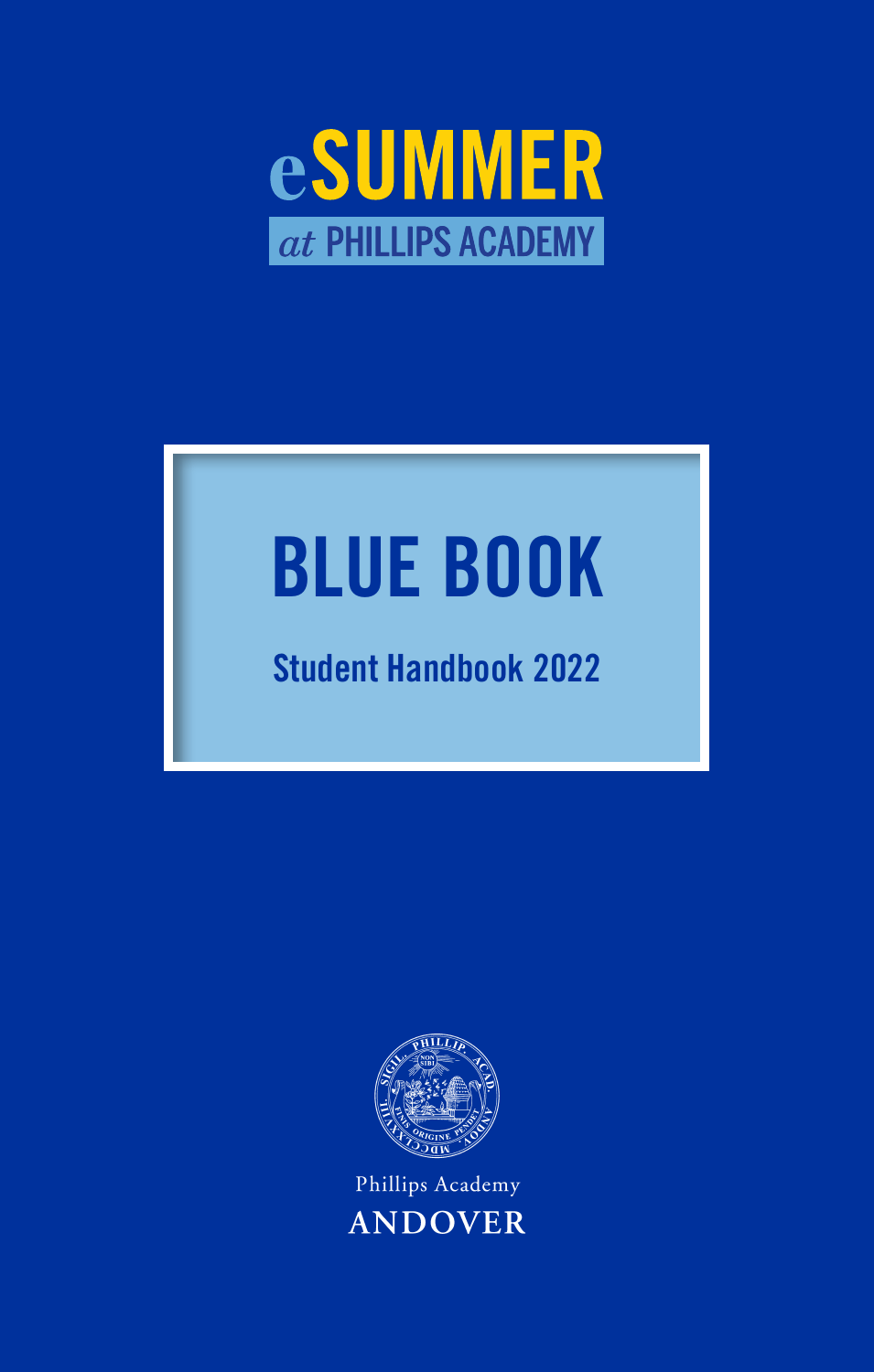

# **BLUE BOOK**

# **Student Handbook 2022**



Phillips Academy **ANDOVER**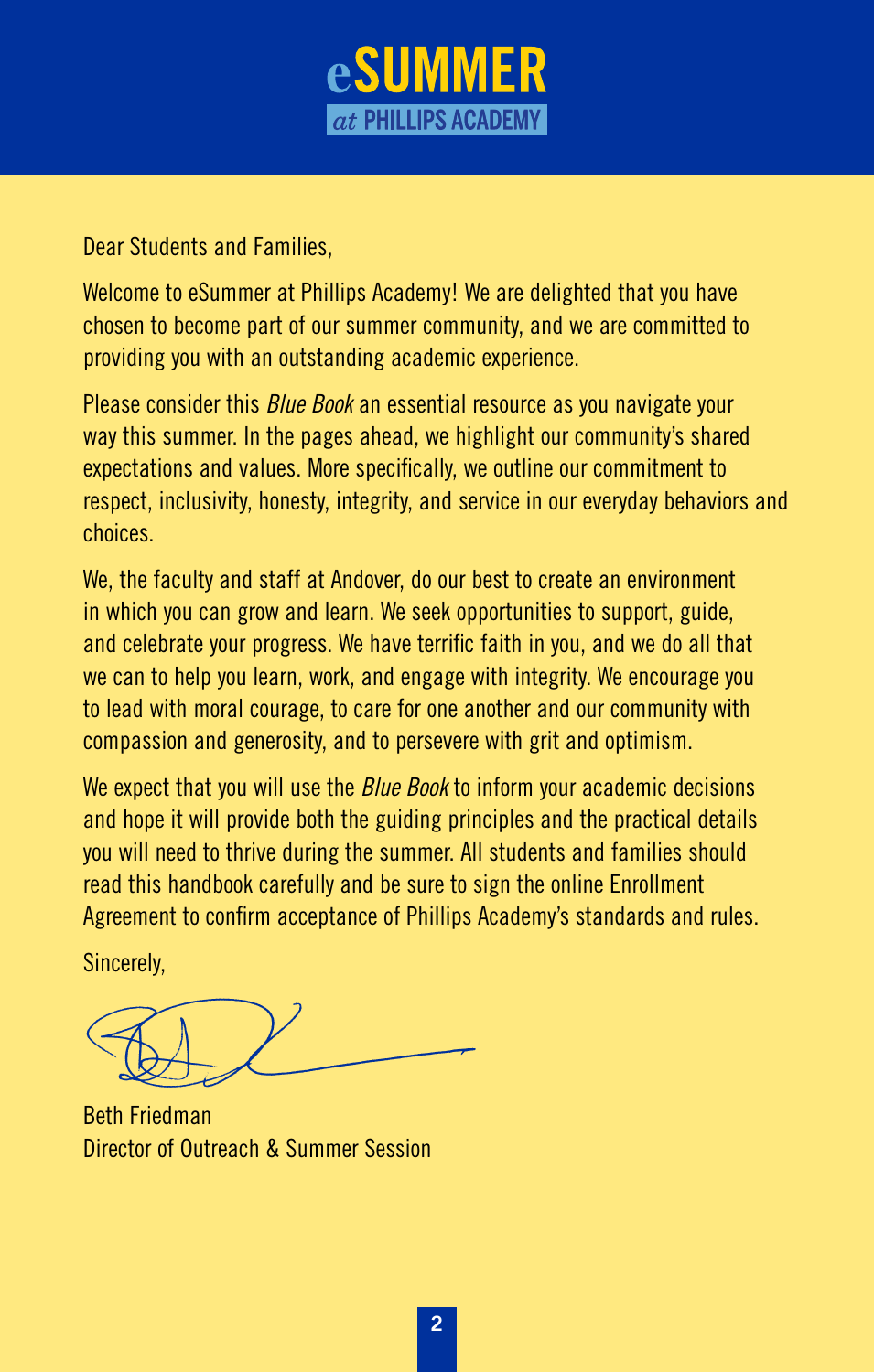

Dear Students and Families,

Welcome to eSummer at Phillips Academy! We are delighted that you have chosen to become part of our summer community, and we are committed to providing you with an outstanding academic experience.

Please consider this *Blue Book* an essential resource as you navigate your way this summer. In the pages ahead, we highlight our community's shared expectations and values. More specifically, we outline our commitment to respect, inclusivity, honesty, integrity, and service in our everyday behaviors and choices.

We, the faculty and staff at Andover, do our best to create an environment in which you can grow and learn. We seek opportunities to support, guide, and celebrate your progress. We have terrific faith in you, and we do all that we can to help you learn, work, and engage with integrity. We encourage you to lead with moral courage, to care for one another and our community with compassion and generosity, and to persevere with grit and optimism.

We expect that you will use the *Blue Book* to inform your academic decisions and hope it will provide both the guiding principles and the practical details you will need to thrive during the summer. All students and families should read this handbook carefully and be sure to sign the online Enrollment Agreement to confirm acceptance of Phillips Academy's standards and rules.

Sincerely,

Beth Friedman Director of Outreach & Summer Session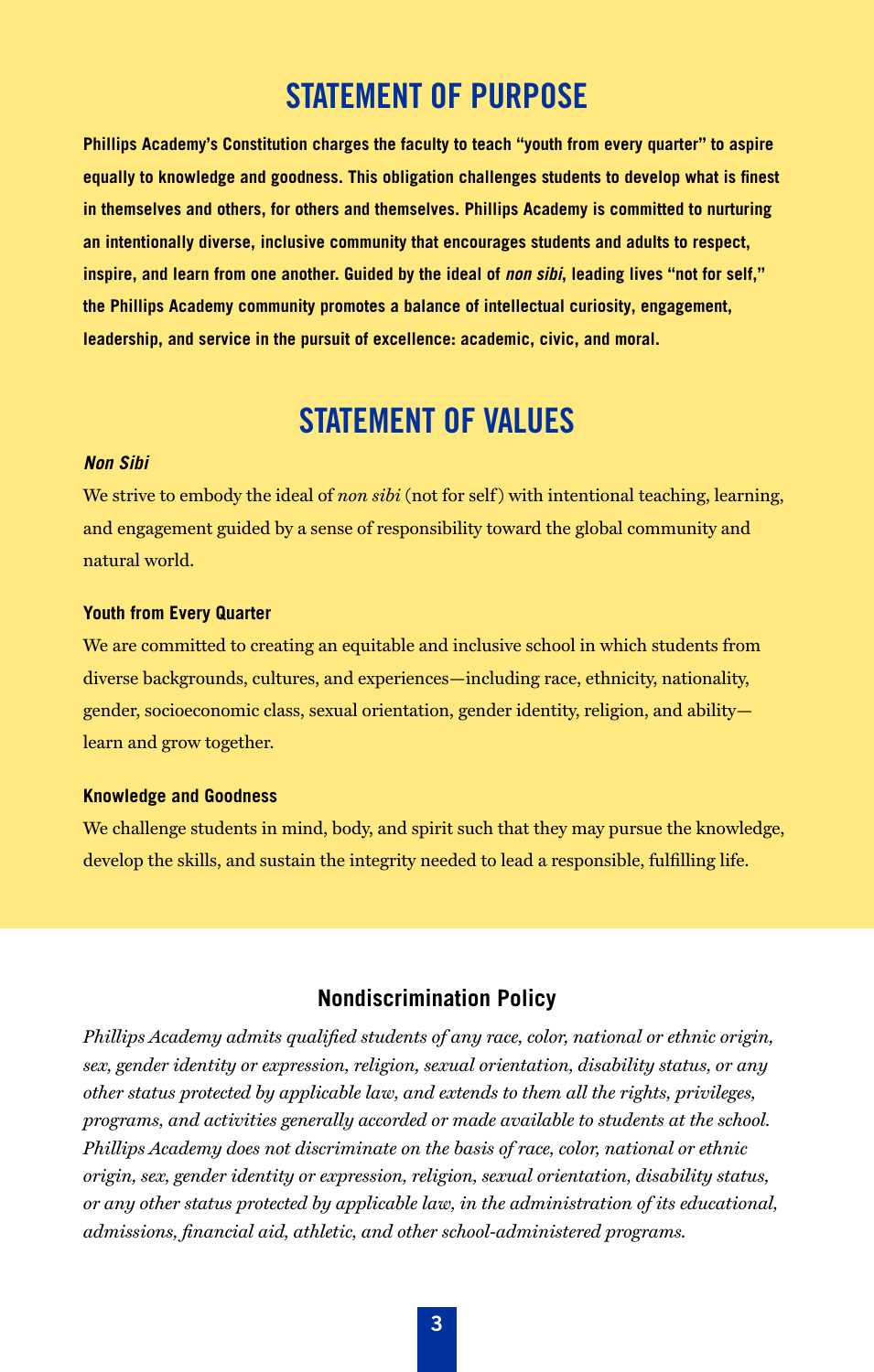## STATEMENT OF PURPOSE

**Phillips Academy's Constitution charges the faculty to teach "youth from every quarter" to aspire equally to knowledge and goodness. This obligation challenges students to develop what is finest in themselves and others, for others and themselves. Phillips Academy is committed to nurturing an intentionally diverse, inclusive community that encourages students and adults to respect, inspire, and learn from one another. Guided by the ideal of** *non sibi***, leading lives "not for self," the Phillips Academy community promotes a balance of intellectual curiosity, engagement, leadership, and service in the pursuit of excellence: academic, civic, and moral.**

## STATEMENT OF VALUES

#### *Non Sibi*

We strive to embody the ideal of *non sibi* (not for self) with intentional teaching, learning, and engagement guided by a sense of responsibility toward the global community and natural world.

#### **Youth from Every Quarter**

We are committed to creating an equitable and inclusive school in which students from diverse backgrounds, cultures, and experiences—including race, ethnicity, nationality, gender, socioeconomic class, sexual orientation, gender identity, religion, and ability learn and grow together.

#### **Knowledge and Goodness**

We challenge students in mind, body, and spirit such that they may pursue the knowledge, develop the skills, and sustain the integrity needed to lead a responsible, fulfilling life.

#### **Nondiscrimination Policy**

*Phillips Academy admits qualified students of any race, color, national or ethnic origin, sex, gender identity or expression, religion, sexual orientation, disability status, or any other status protected by applicable law, and extends to them all the rights, privileges, programs, and activities generally accorded or made available to students at the school. Phillips Academy does not discriminate on the basis of race, color, national or ethnic origin, sex, gender identity or expression, religion, sexual orientation, disability status, or any other status protected by applicable law, in the administration of its educational, admissions, financial aid, athletic, and other school-administered programs.*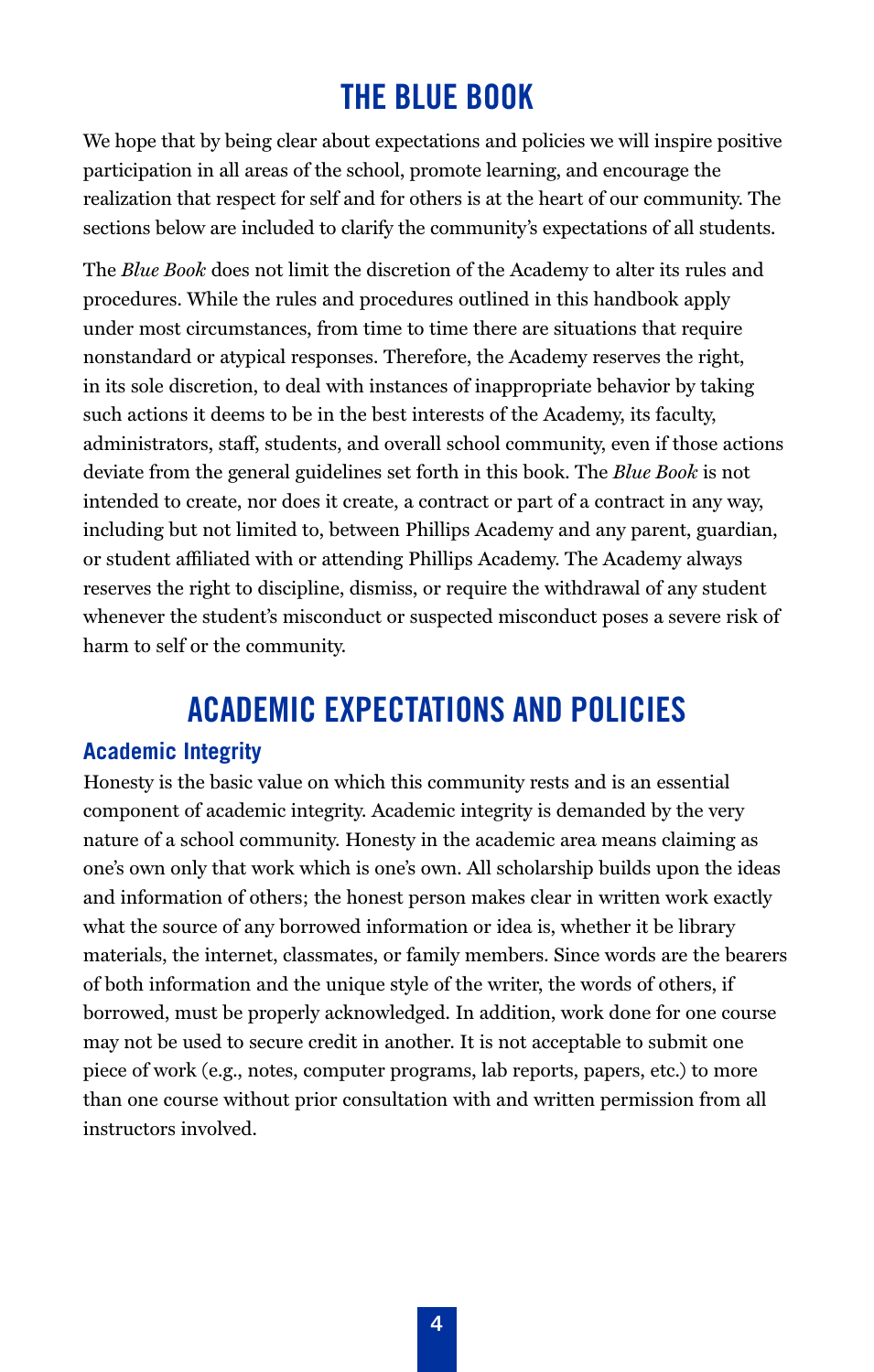# **THE BLUE BOOK**

We hope that by being clear about expectations and policies we will inspire positive participation in all areas of the school, promote learning, and encourage the realization that respect for self and for others is at the heart of our community. The sections below are included to clarify the community's expectations of all students.

The *Blue Book* does not limit the discretion of the Academy to alter its rules and procedures. While the rules and procedures outlined in this handbook apply under most circumstances, from time to time there are situations that require nonstandard or atypical responses. Therefore, the Academy reserves the right, in its sole discretion, to deal with instances of inappropriate behavior by taking such actions it deems to be in the best interests of the Academy, its faculty, administrators, staff, students, and overall school community, even if those actions deviate from the general guidelines set forth in this book. The *Blue Book* is not intended to create, nor does it create, a contract or part of a contract in any way, including but not limited to, between Phillips Academy and any parent, guardian, or student affiliated with or attending Phillips Academy. The Academy always reserves the right to discipline, dismiss, or require the withdrawal of any student whenever the student's misconduct or suspected misconduct poses a severe risk of harm to self or the community.

## **ACADEMIC EXPECTATIONS AND POLICIES**

#### **Academic Integrity**

Honesty is the basic value on which this community rests and is an essential component of academic integrity. Academic integrity is demanded by the very nature of a school community. Honesty in the academic area means claiming as one's own only that work which is one's own. All scholarship builds upon the ideas and information of others; the honest person makes clear in written work exactly what the source of any borrowed information or idea is, whether it be library materials, the internet, classmates, or family members. Since words are the bearers of both information and the unique style of the writer, the words of others, if borrowed, must be properly acknowledged. In addition, work done for one course may not be used to secure credit in another. It is not acceptable to submit one piece of work (e.g., notes, computer programs, lab reports, papers, etc.) to more than one course without prior consultation with and written permission from all instructors involved.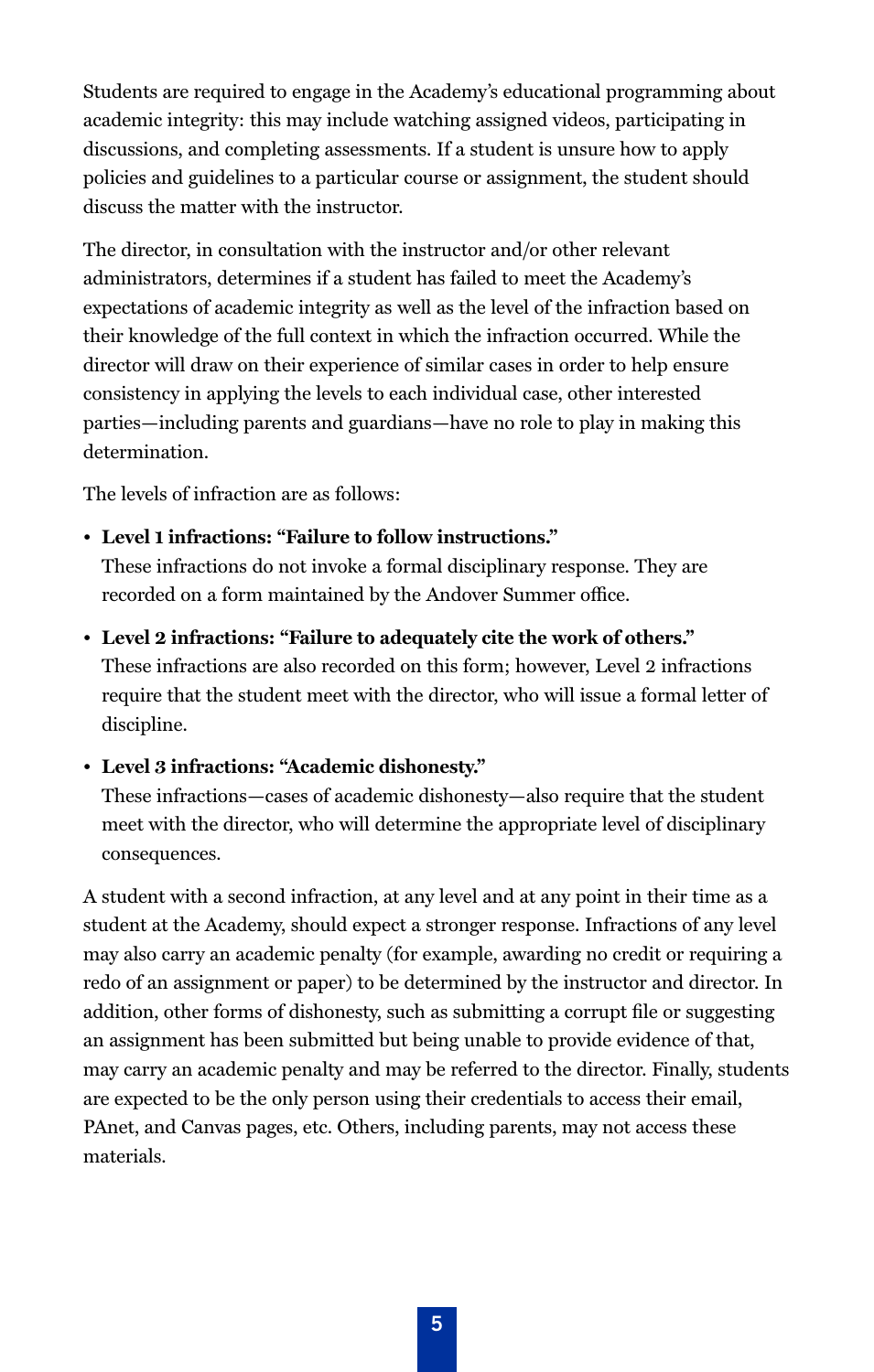Students are required to engage in the Academy's educational programming about academic integrity: this may include watching assigned videos, participating in discussions, and completing assessments. If a student is unsure how to apply policies and guidelines to a particular course or assignment, the student should discuss the matter with the instructor.

The director, in consultation with the instructor and/or other relevant administrators, determines if a student has failed to meet the Academy's expectations of academic integrity as well as the level of the infraction based on their knowledge of the full context in which the infraction occurred. While the director will draw on their experience of similar cases in order to help ensure consistency in applying the levels to each individual case, other interested parties—including parents and guardians—have no role to play in making this determination.

The levels of infraction are as follows:

• **Level 1 infractions: "Failure to follow instructions."** 

These infractions do not invoke a formal disciplinary response. They are recorded on a form maintained by the Andover Summer office.

• **Level 2 infractions: "Failure to adequately cite the work of others."**  These infractions are also recorded on this form; however, Level 2 infractions require that the student meet with the director, who will issue a formal letter of discipline.

• **Level 3 infractions: "Academic dishonesty."**

These infractions—cases of academic dishonesty—also require that the student meet with the director, who will determine the appropriate level of disciplinary consequences.

A student with a second infraction, at any level and at any point in their time as a student at the Academy, should expect a stronger response. Infractions of any level may also carry an academic penalty (for example, awarding no credit or requiring a redo of an assignment or paper) to be determined by the instructor and director. In addition, other forms of dishonesty, such as submitting a corrupt file or suggesting an assignment has been submitted but being unable to provide evidence of that, may carry an academic penalty and may be referred to the director. Finally, students are expected to be the only person using their credentials to access their email, PAnet, and Canvas pages, etc. Others, including parents, may not access these materials.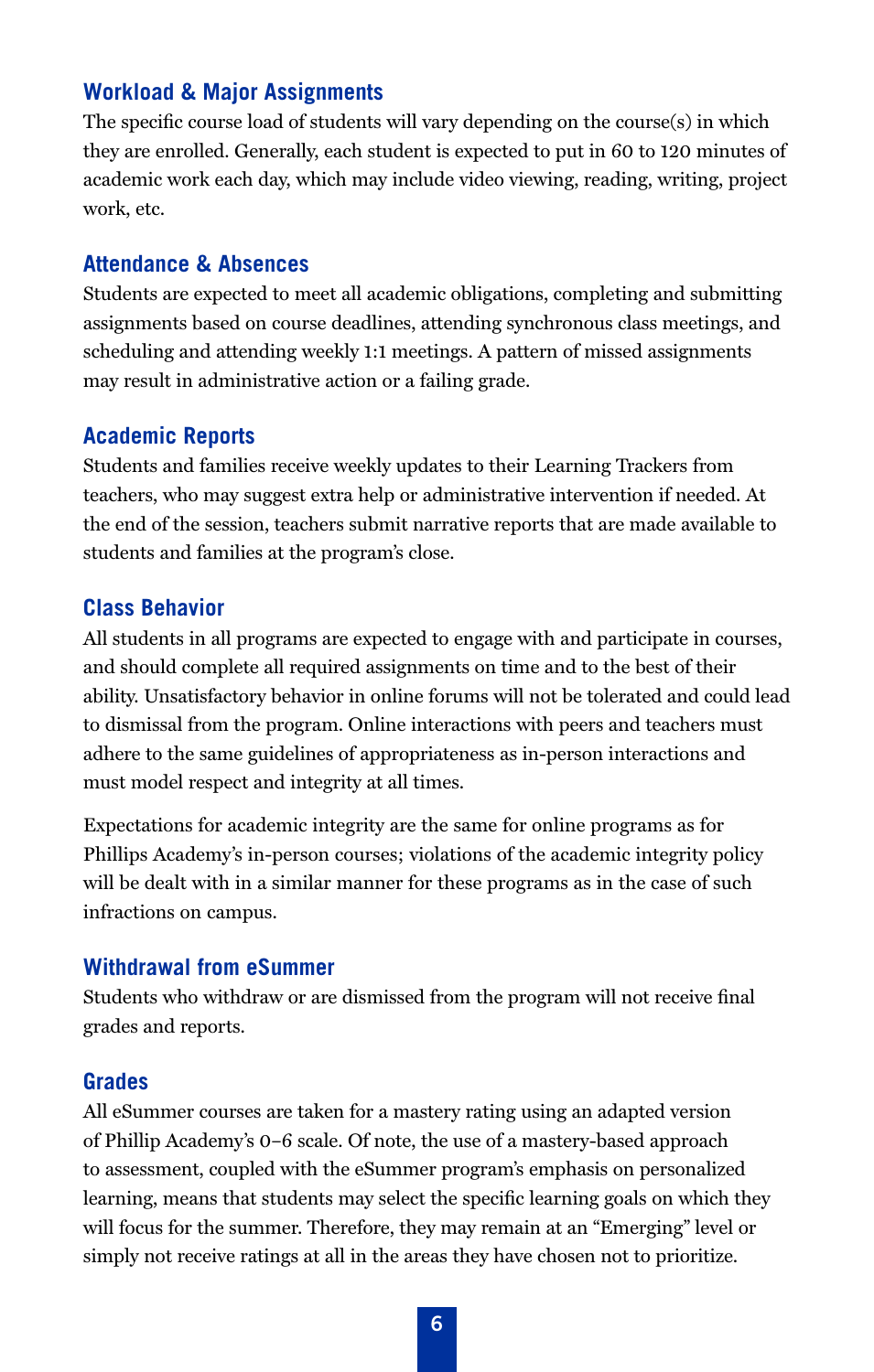#### **Workload & Major Assignments**

The specific course load of students will vary depending on the course(s) in which they are enrolled. Generally, each student is expected to put in 60 to 120 minutes of academic work each day, which may include video viewing, reading, writing, project work, etc.

#### **Attendance & Absences**

Students are expected to meet all academic obligations, completing and submitting assignments based on course deadlines, attending synchronous class meetings, and scheduling and attending weekly 1:1 meetings. A pattern of missed assignments may result in administrative action or a failing grade.

#### **Academic Reports**

Students and families receive weekly updates to their Learning Trackers from teachers, who may suggest extra help or administrative intervention if needed. At the end of the session, teachers submit narrative reports that are made available to students and families at the program's close.

#### **Class Behavior**

All students in all programs are expected to engage with and participate in courses, and should complete all required assignments on time and to the best of their ability. Unsatisfactory behavior in online forums will not be tolerated and could lead to dismissal from the program. Online interactions with peers and teachers must adhere to the same guidelines of appropriateness as in-person interactions and must model respect and integrity at all times.

Expectations for academic integrity are the same for online programs as for Phillips Academy's in-person courses; violations of the academic integrity policy will be dealt with in a similar manner for these programs as in the case of such infractions on campus.

#### **Withdrawal from eSummer**

Students who withdraw or are dismissed from the program will not receive final grades and reports.

#### **Grades**

All eSummer courses are taken for a mastery rating using an adapted version of Phillip Academy's 0–6 scale. Of note, the use of a mastery-based approach to assessment, coupled with the eSummer program's emphasis on personalized learning, means that students may select the specific learning goals on which they will focus for the summer. Therefore, they may remain at an "Emerging" level or simply not receive ratings at all in the areas they have chosen not to prioritize.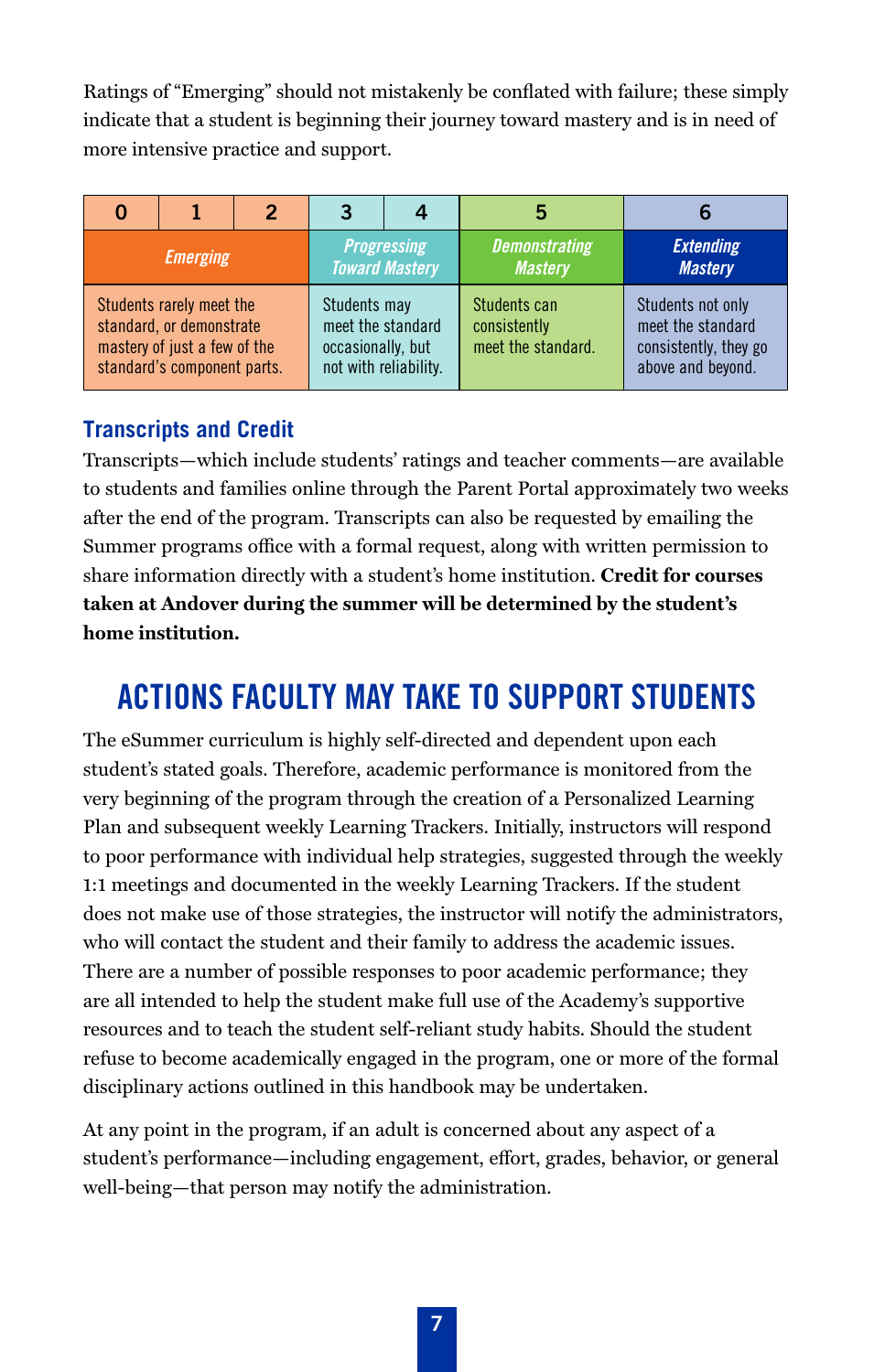Ratings of "Emerging" should not mistakenly be conflated with failure; these simply indicate that a student is beginning their journey toward mastery and is in need of more intensive practice and support.

|                                                                                                                     |  | 2 | З                                                                               |  | 5                                                  |                                                                                      |
|---------------------------------------------------------------------------------------------------------------------|--|---|---------------------------------------------------------------------------------|--|----------------------------------------------------|--------------------------------------------------------------------------------------|
| <b>Emerging</b>                                                                                                     |  |   | <b>Progressing</b><br><b>Toward Mastery</b>                                     |  | <b>Demonstrating</b><br><b>Mastery</b>             | <b>Extending</b><br><b>Mastery</b>                                                   |
| Students rarely meet the<br>standard, or demonstrate<br>mastery of just a few of the<br>standard's component parts. |  |   | Students may<br>meet the standard<br>occasionally, but<br>not with reliability. |  | Students can<br>consistently<br>meet the standard. | Students not only<br>meet the standard<br>consistently, they go<br>above and beyond. |

## **Transcripts and Credit**

Transcripts—which include students' ratings and teacher comments—are available to students and families online through the Parent Portal approximately two weeks after the end of the program. Transcripts can also be requested by emailing the Summer programs office with a formal request, along with written permission to share information directly with a student's home institution. **Credit for courses taken at Andover during the summer will be determined by the student's home institution.**

# **ACTIONS FACULTY MAY TAKE TO SUPPORT STUDENTS**

The eSummer curriculum is highly self-directed and dependent upon each student's stated goals. Therefore, academic performance is monitored from the very beginning of the program through the creation of a Personalized Learning Plan and subsequent weekly Learning Trackers. Initially, instructors will respond to poor performance with individual help strategies, suggested through the weekly 1:1 meetings and documented in the weekly Learning Trackers. If the student does not make use of those strategies, the instructor will notify the administrators, who will contact the student and their family to address the academic issues. There are a number of possible responses to poor academic performance; they are all intended to help the student make full use of the Academy's supportive resources and to teach the student self-reliant study habits. Should the student refuse to become academically engaged in the program, one or more of the formal disciplinary actions outlined in this handbook may be undertaken.

At any point in the program, if an adult is concerned about any aspect of a student's performance—including engagement, effort, grades, behavior, or general well-being—that person may notify the administration.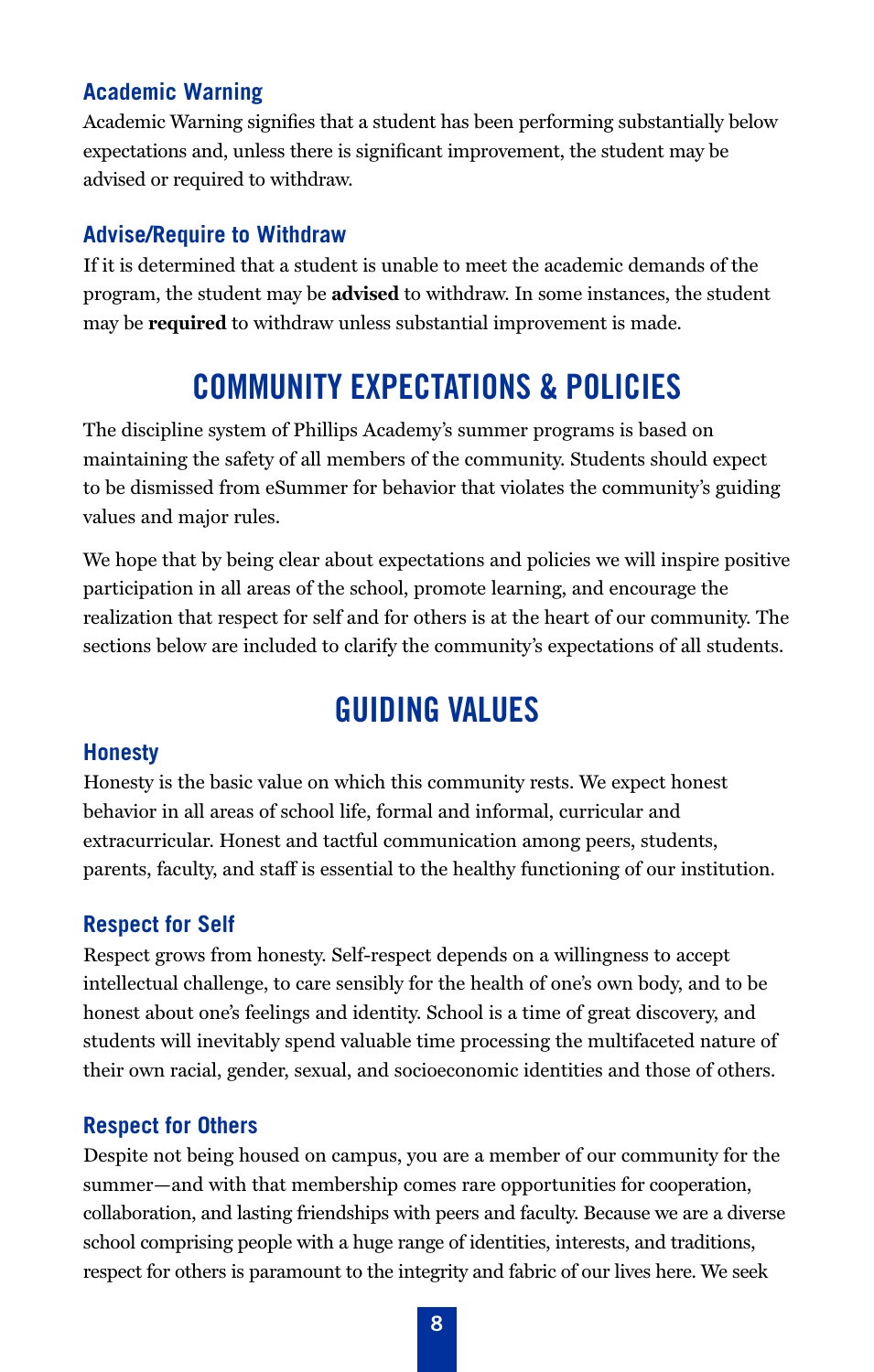#### **Academic Warning**

Academic Warning signifies that a student has been performing substantially below expectations and, unless there is significant improvement, the student may be advised or required to withdraw.

#### **Advise/Require to Withdraw**

If it is determined that a student is unable to meet the academic demands of the program, the student may be **advised** to withdraw. In some instances, the student may be **required** to withdraw unless substantial improvement is made.

# **COMMUNITY EXPECTATIONS & POLICIES**

The discipline system of Phillips Academy's summer programs is based on maintaining the safety of all members of the community. Students should expect to be dismissed from eSummer for behavior that violates the community's guiding values and major rules.

We hope that by being clear about expectations and policies we will inspire positive participation in all areas of the school, promote learning, and encourage the realization that respect for self and for others is at the heart of our community. The sections below are included to clarify the community's expectations of all students.

## **GUIDING VALUES**

#### **Honesty**

Honesty is the basic value on which this community rests. We expect honest behavior in all areas of school life, formal and informal, curricular and extracurricular. Honest and tactful communication among peers, students, parents, faculty, and staff is essential to the healthy functioning of our institution.

#### **Respect for Self**

Respect grows from honesty. Self-respect depends on a willingness to accept intellectual challenge, to care sensibly for the health of one's own body, and to be honest about one's feelings and identity. School is a time of great discovery, and students will inevitably spend valuable time processing the multifaceted nature of their own racial, gender, sexual, and socioeconomic identities and those of others.

#### **Respect for Others**

Despite not being housed on campus, you are a member of our community for the summer—and with that membership comes rare opportunities for cooperation, collaboration, and lasting friendships with peers and faculty. Because we are a diverse school comprising people with a huge range of identities, interests, and traditions, respect for others is paramount to the integrity and fabric of our lives here. We seek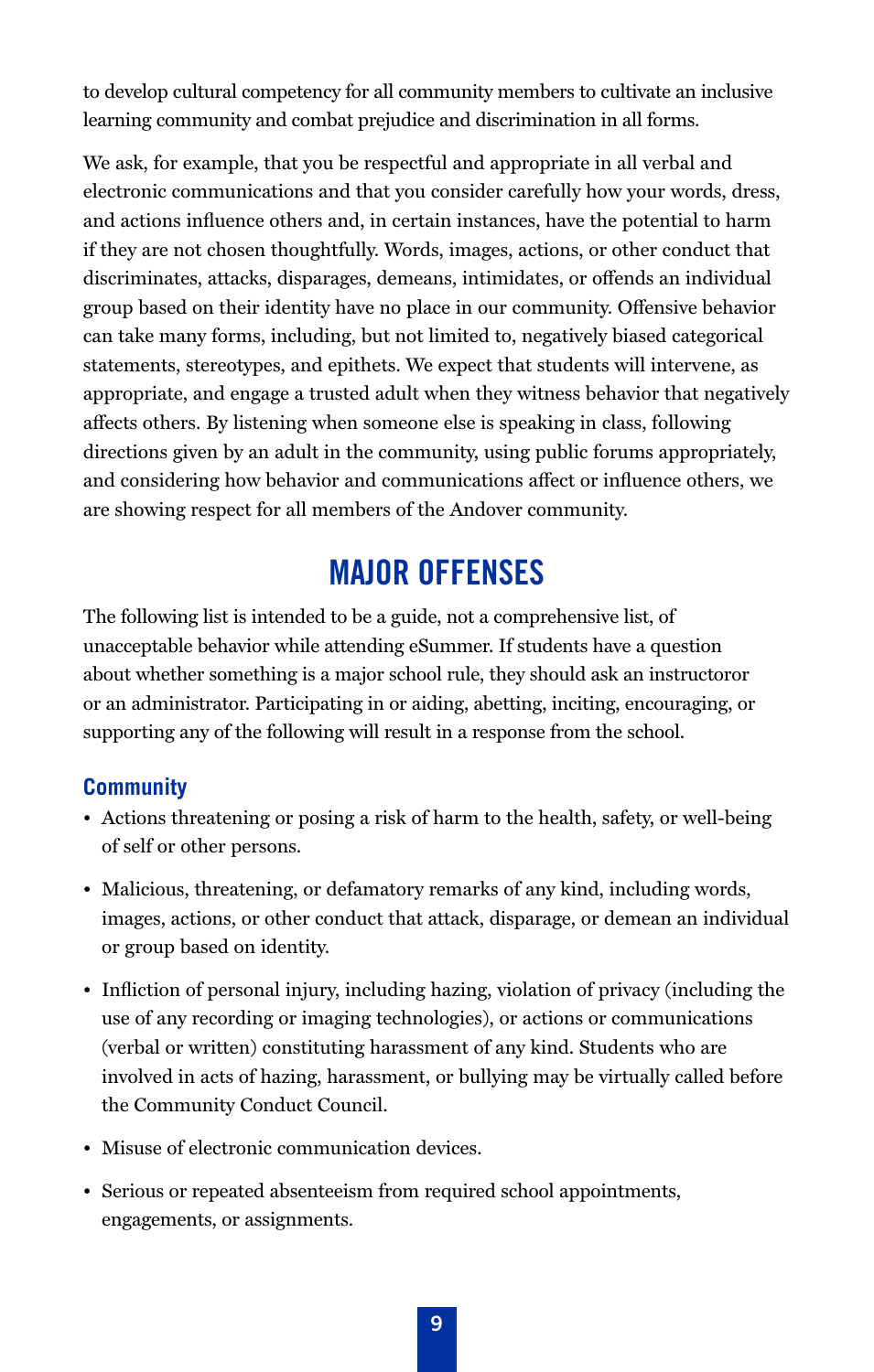to develop cultural competency for all community members to cultivate an inclusive learning community and combat prejudice and discrimination in all forms.

We ask, for example, that you be respectful and appropriate in all verbal and electronic communications and that you consider carefully how your words, dress, and actions influence others and, in certain instances, have the potential to harm if they are not chosen thoughtfully. Words, images, actions, or other conduct that discriminates, attacks, disparages, demeans, intimidates, or offends an individual group based on their identity have no place in our community. Offensive behavior can take many forms, including, but not limited to, negatively biased categorical statements, stereotypes, and epithets. We expect that students will intervene, as appropriate, and engage a trusted adult when they witness behavior that negatively affects others. By listening when someone else is speaking in class, following directions given by an adult in the community, using public forums appropriately, and considering how behavior and communications affect or influence others, we are showing respect for all members of the Andover community.

## **MAJOR OFFENSES**

The following list is intended to be a guide, not a comprehensive list, of unacceptable behavior while attending eSummer. If students have a question about whether something is a major school rule, they should ask an instructoror or an administrator. Participating in or aiding, abetting, inciting, encouraging, or supporting any of the following will result in a response from the school.

## **Community**

- Actions threatening or posing a risk of harm to the health, safety, or well-being of self or other persons.
- Malicious, threatening, or defamatory remarks of any kind, including words, images, actions, or other conduct that attack, disparage, or demean an individual or group based on identity.
- Infliction of personal injury, including hazing, violation of privacy (including the use of any recording or imaging technologies), or actions or communications (verbal or written) constituting harassment of any kind. Students who are involved in acts of hazing, harassment, or bullying may be virtually called before the Community Conduct Council.
- Misuse of electronic communication devices.
- Serious or repeated absenteeism from required school appointments, engagements, or assignments.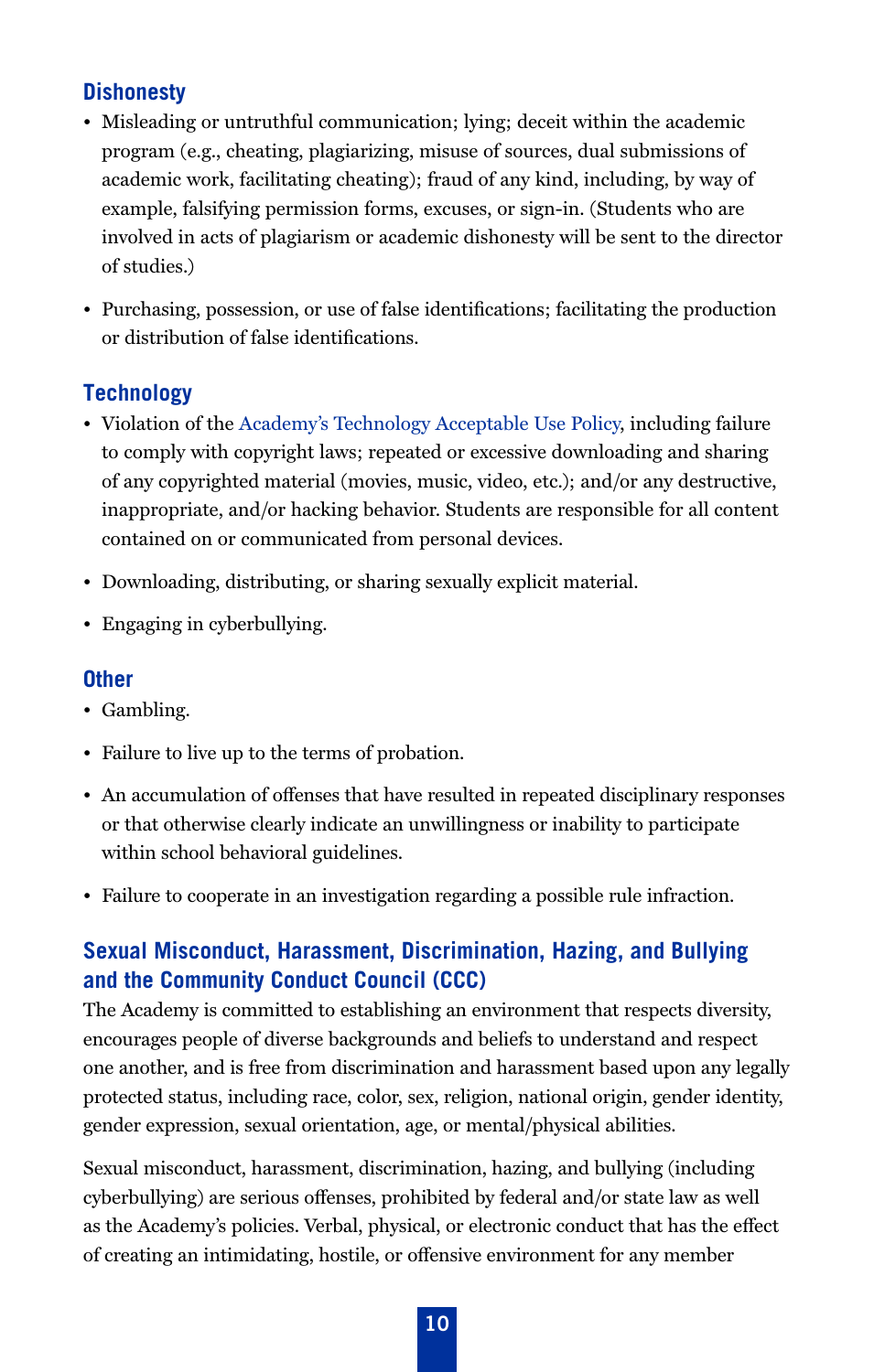## **Dishonesty**

- Misleading or untruthful communication; lying; deceit within the academic program (e.g., cheating, plagiarizing, misuse of sources, dual submissions of academic work, facilitating cheating); fraud of any kind, including, by way of example, falsifying permission forms, excuses, or sign-in. (Students who are involved in acts of plagiarism or academic dishonesty will be sent to the director of studies.)
- Purchasing, possession, or use of false identifications; facilitating the production or distribution of false identifications.

## **Technology**

- Violation of the [Academy's Technology Acceptable Use Policy](#page-13-0), including failure to comply with copyright laws; repeated or excessive downloading and sharing of any copyrighted material (movies, music, video, etc.); and/or any destructive, inappropriate, and/or hacking behavior. Students are responsible for all content contained on or communicated from personal devices.
- Downloading, distributing, or sharing sexually explicit material.
- Engaging in cyberbullying.

#### **Other**

- Gambling.
- Failure to live up to the terms of probation.
- An accumulation of offenses that have resulted in repeated disciplinary responses or that otherwise clearly indicate an unwillingness or inability to participate within school behavioral guidelines.
- Failure to cooperate in an investigation regarding a possible rule infraction.

## **Sexual Misconduct, Harassment, Discrimination, Hazing, and Bullying and the Community Conduct Council (CCC)**

The Academy is committed to establishing an environment that respects diversity, encourages people of diverse backgrounds and beliefs to understand and respect one another, and is free from discrimination and harassment based upon any legally protected status, including race, color, sex, religion, national origin, gender identity, gender expression, sexual orientation, age, or mental/physical abilities.

Sexual misconduct, harassment, discrimination, hazing, and bullying (including cyberbullying) are serious offenses, prohibited by federal and/or state law as well as the Academy's policies. Verbal, physical, or electronic conduct that has the effect of creating an intimidating, hostile, or offensive environment for any member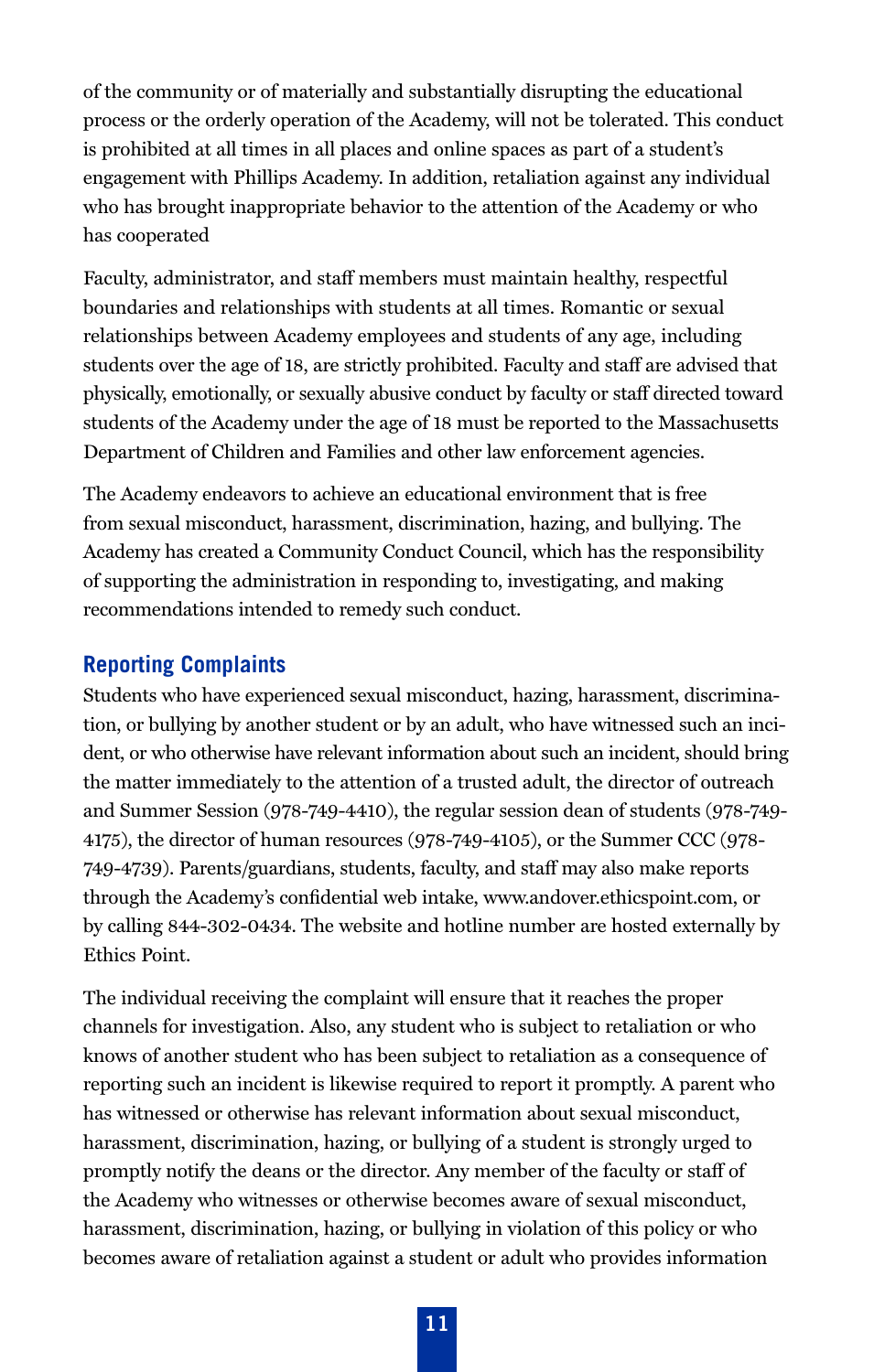of the community or of materially and substantially disrupting the educational process or the orderly operation of the Academy, will not be tolerated. This conduct is prohibited at all times in all places and online spaces as part of a student's engagement with Phillips Academy. In addition, retaliation against any individual who has brought inappropriate behavior to the attention of the Academy or who has cooperated

Faculty, administrator, and staff members must maintain healthy, respectful boundaries and relationships with students at all times. Romantic or sexual relationships between Academy employees and students of any age, including students over the age of 18, are strictly prohibited. Faculty and staff are advised that physically, emotionally, or sexually abusive conduct by faculty or staff directed toward students of the Academy under the age of 18 must be reported to the Massachusetts Department of Children and Families and other law enforcement agencies.

The Academy endeavors to achieve an educational environment that is free from sexual misconduct, harassment, discrimination, hazing, and bullying. The Academy has created a Community Conduct Council, which has the responsibility of supporting the administration in responding to, investigating, and making recommendations intended to remedy such conduct.

#### **Reporting Complaints**

Students who have experienced sexual misconduct, hazing, harassment, discrimination, or bullying by another student or by an adult, who have witnessed such an incident, or who otherwise have relevant information about such an incident, should bring the matter immediately to the attention of a trusted adult, the director of outreach and Summer Session (978-749-4410), the regular session dean of students (978-749- 4175), the director of human resources (978-749-4105), or the Summer CCC (978- 749-4739). Parents/guardians, students, faculty, and staff may also make reports through the Academy's confidential web intake, www.andover.ethicspoint.com, or by calling 844-302-0434. The website and hotline number are hosted externally by Ethics Point.

The individual receiving the complaint will ensure that it reaches the proper channels for investigation. Also, any student who is subject to retaliation or who knows of another student who has been subject to retaliation as a consequence of reporting such an incident is likewise required to report it promptly. A parent who has witnessed or otherwise has relevant information about sexual misconduct, harassment, discrimination, hazing, or bullying of a student is strongly urged to promptly notify the deans or the director. Any member of the faculty or staff of the Academy who witnesses or otherwise becomes aware of sexual misconduct, harassment, discrimination, hazing, or bullying in violation of this policy or who becomes aware of retaliation against a student or adult who provides information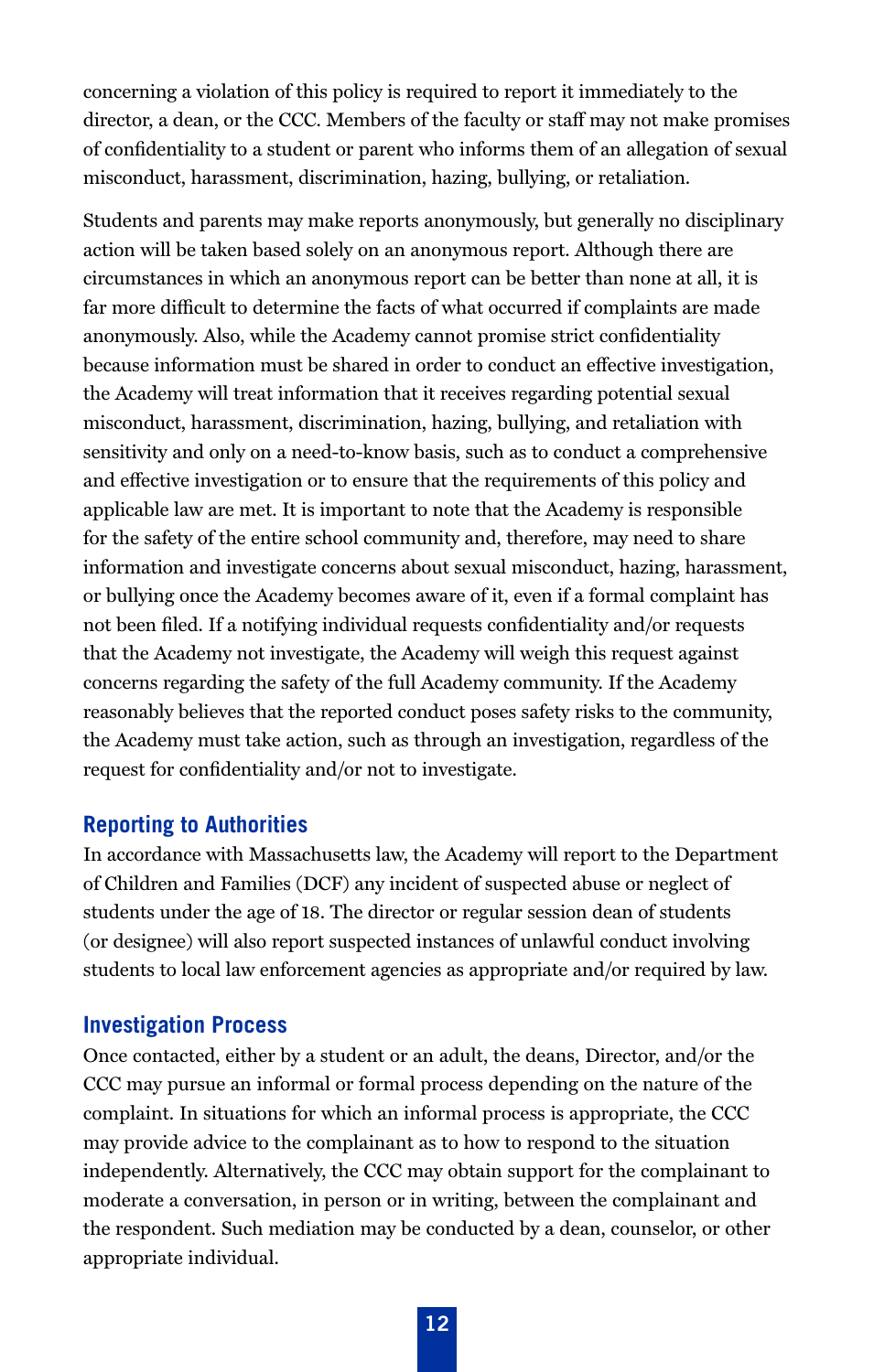concerning a violation of this policy is required to report it immediately to the director, a dean, or the CCC. Members of the faculty or staff may not make promises of confidentiality to a student or parent who informs them of an allegation of sexual misconduct, harassment, discrimination, hazing, bullying, or retaliation.

Students and parents may make reports anonymously, but generally no disciplinary action will be taken based solely on an anonymous report. Although there are circumstances in which an anonymous report can be better than none at all, it is far more difficult to determine the facts of what occurred if complaints are made anonymously. Also, while the Academy cannot promise strict confidentiality because information must be shared in order to conduct an effective investigation, the Academy will treat information that it receives regarding potential sexual misconduct, harassment, discrimination, hazing, bullying, and retaliation with sensitivity and only on a need-to-know basis, such as to conduct a comprehensive and effective investigation or to ensure that the requirements of this policy and applicable law are met. It is important to note that the Academy is responsible for the safety of the entire school community and, therefore, may need to share information and investigate concerns about sexual misconduct, hazing, harassment, or bullying once the Academy becomes aware of it, even if a formal complaint has not been filed. If a notifying individual requests confidentiality and/or requests that the Academy not investigate, the Academy will weigh this request against concerns regarding the safety of the full Academy community. If the Academy reasonably believes that the reported conduct poses safety risks to the community, the Academy must take action, such as through an investigation, regardless of the request for confidentiality and/or not to investigate.

#### **Reporting to Authorities**

In accordance with Massachusetts law, the Academy will report to the Department of Children and Families (DCF) any incident of suspected abuse or neglect of students under the age of 18. The director or regular session dean of students (or designee) will also report suspected instances of unlawful conduct involving students to local law enforcement agencies as appropriate and/or required by law.

#### **Investigation Process**

Once contacted, either by a student or an adult, the deans, Director, and/or the CCC may pursue an informal or formal process depending on the nature of the complaint. In situations for which an informal process is appropriate, the CCC may provide advice to the complainant as to how to respond to the situation independently. Alternatively, the CCC may obtain support for the complainant to moderate a conversation, in person or in writing, between the complainant and the respondent. Such mediation may be conducted by a dean, counselor, or other appropriate individual.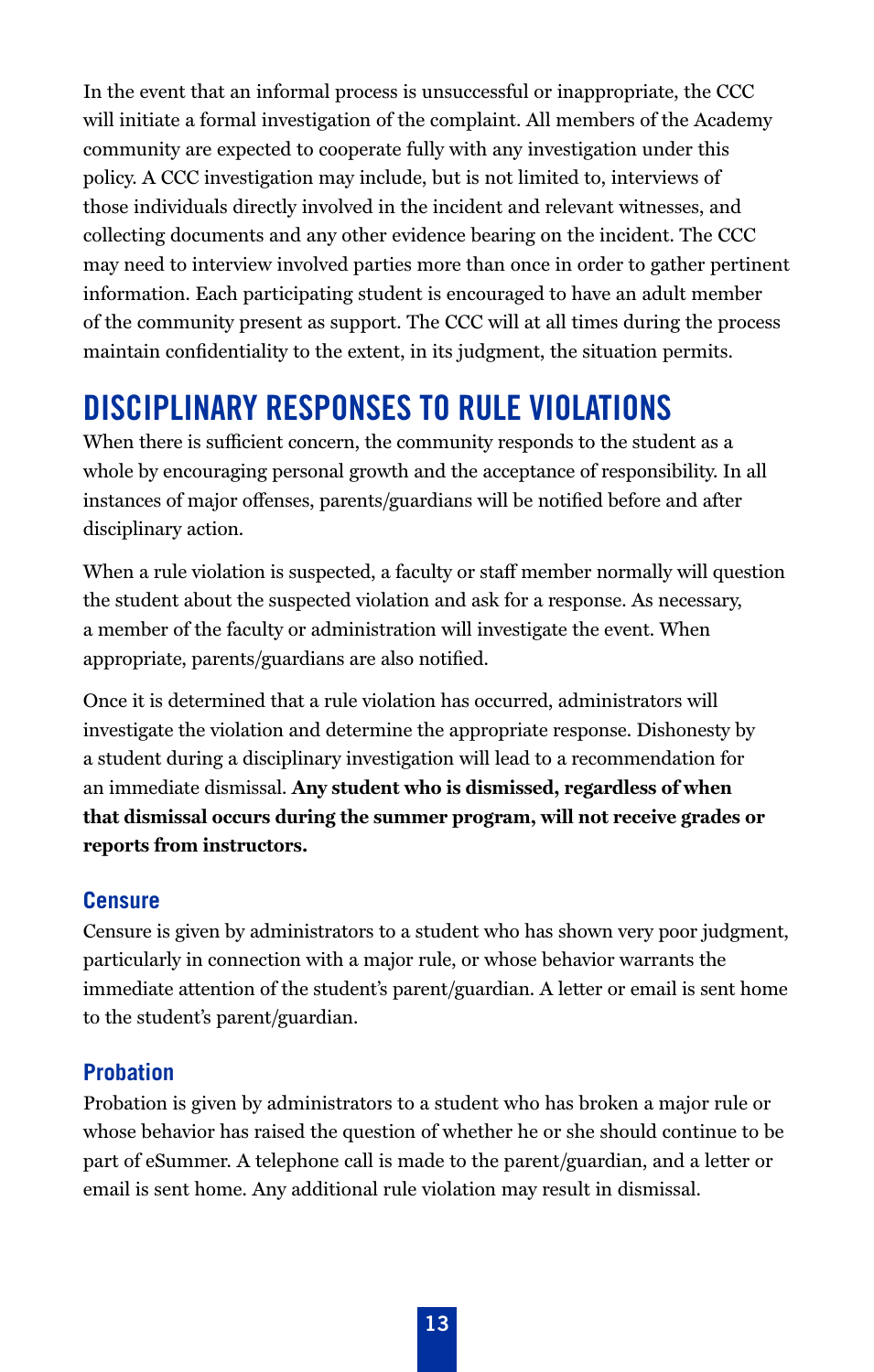In the event that an informal process is unsuccessful or inappropriate, the CCC will initiate a formal investigation of the complaint. All members of the Academy community are expected to cooperate fully with any investigation under this policy. A CCC investigation may include, but is not limited to, interviews of those individuals directly involved in the incident and relevant witnesses, and collecting documents and any other evidence bearing on the incident. The CCC may need to interview involved parties more than once in order to gather pertinent information. Each participating student is encouraged to have an adult member of the community present as support. The CCC will at all times during the process maintain confidentiality to the extent, in its judgment, the situation permits.

# DISCIPLINARY RESPONSES TO RULE VIOLATIONS

When there is sufficient concern, the community responds to the student as a whole by encouraging personal growth and the acceptance of responsibility. In all instances of major offenses, parents/guardians will be notified before and after disciplinary action.

When a rule violation is suspected, a faculty or staff member normally will question the student about the suspected violation and ask for a response. As necessary, a member of the faculty or administration will investigate the event. When appropriate, parents/guardians are also notified.

Once it is determined that a rule violation has occurred, administrators will investigate the violation and determine the appropriate response. Dishonesty by a student during a disciplinary investigation will lead to a recommendation for an immediate dismissal. **Any student who is dismissed, regardless of when that dismissal occurs during the summer program, will not receive grades or reports from instructors.**

#### **Censure**

Censure is given by administrators to a student who has shown very poor judgment, particularly in connection with a major rule, or whose behavior warrants the immediate attention of the student's parent/guardian. A letter or email is sent home to the student's parent/guardian.

#### **Probation**

Probation is given by administrators to a student who has broken a major rule or whose behavior has raised the question of whether he or she should continue to be part of eSummer. A telephone call is made to the parent/guardian, and a letter or email is sent home. Any additional rule violation may result in dismissal.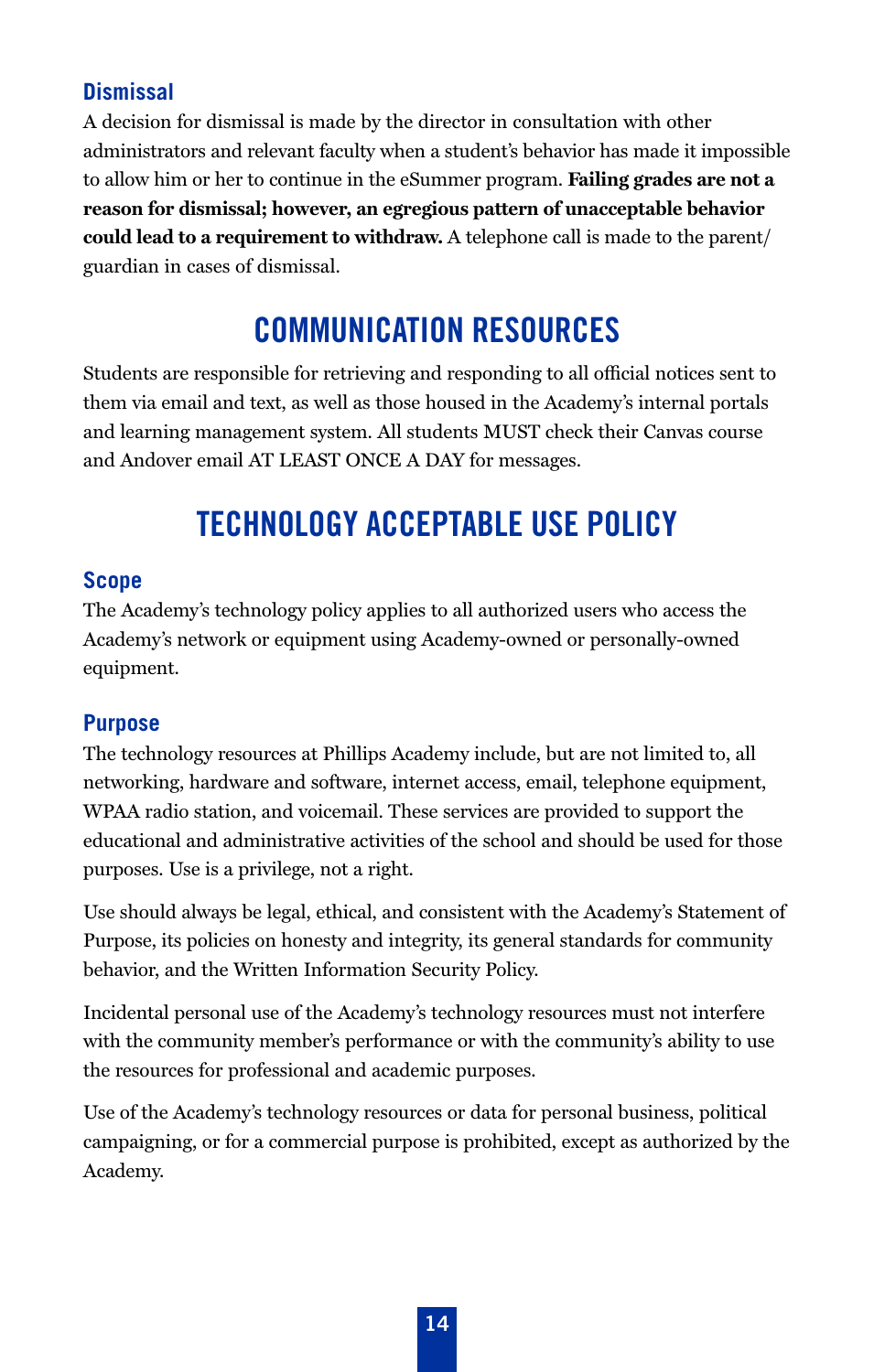## **Dismissal**

A decision for dismissal is made by the director in consultation with other administrators and relevant faculty when a student's behavior has made it impossible to allow him or her to continue in the eSummer program. **Failing grades are not a reason for dismissal; however, an egregious pattern of unacceptable behavior could lead to a requirement to withdraw.** A telephone call is made to the parent/ guardian in cases of dismissal.

# **COMMUNICATION RESOURCES**

Students are responsible for retrieving and responding to all official notices sent to them via email and text, as well as those housed in the Academy's internal portals and learning management system. All students MUST check their Canvas course and Andover email AT LEAST ONCE A DAY for messages.

# <span id="page-13-0"></span>**TECHNOLOGY ACCEPTABLE USE POLICY**

#### **Scope**

The Academy's technology policy applies to all authorized users who access the Academy's network or equipment using Academy-owned or personally-owned equipment.

## **Purpose**

The technology resources at Phillips Academy include, but are not limited to, all networking, hardware and software, internet access, email, telephone equipment, WPAA radio station, and voicemail. These services are provided to support the educational and administrative activities of the school and should be used for those purposes. Use is a privilege, not a right.

Use should always be legal, ethical, and consistent with the Academy's Statement of Purpose, its policies on honesty and integrity, its general standards for community behavior, and the Written Information Security Policy.

Incidental personal use of the Academy's technology resources must not interfere with the community member's performance or with the community's ability to use the resources for professional and academic purposes.

Use of the Academy's technology resources or data for personal business, political campaigning, or for a commercial purpose is prohibited, except as authorized by the Academy.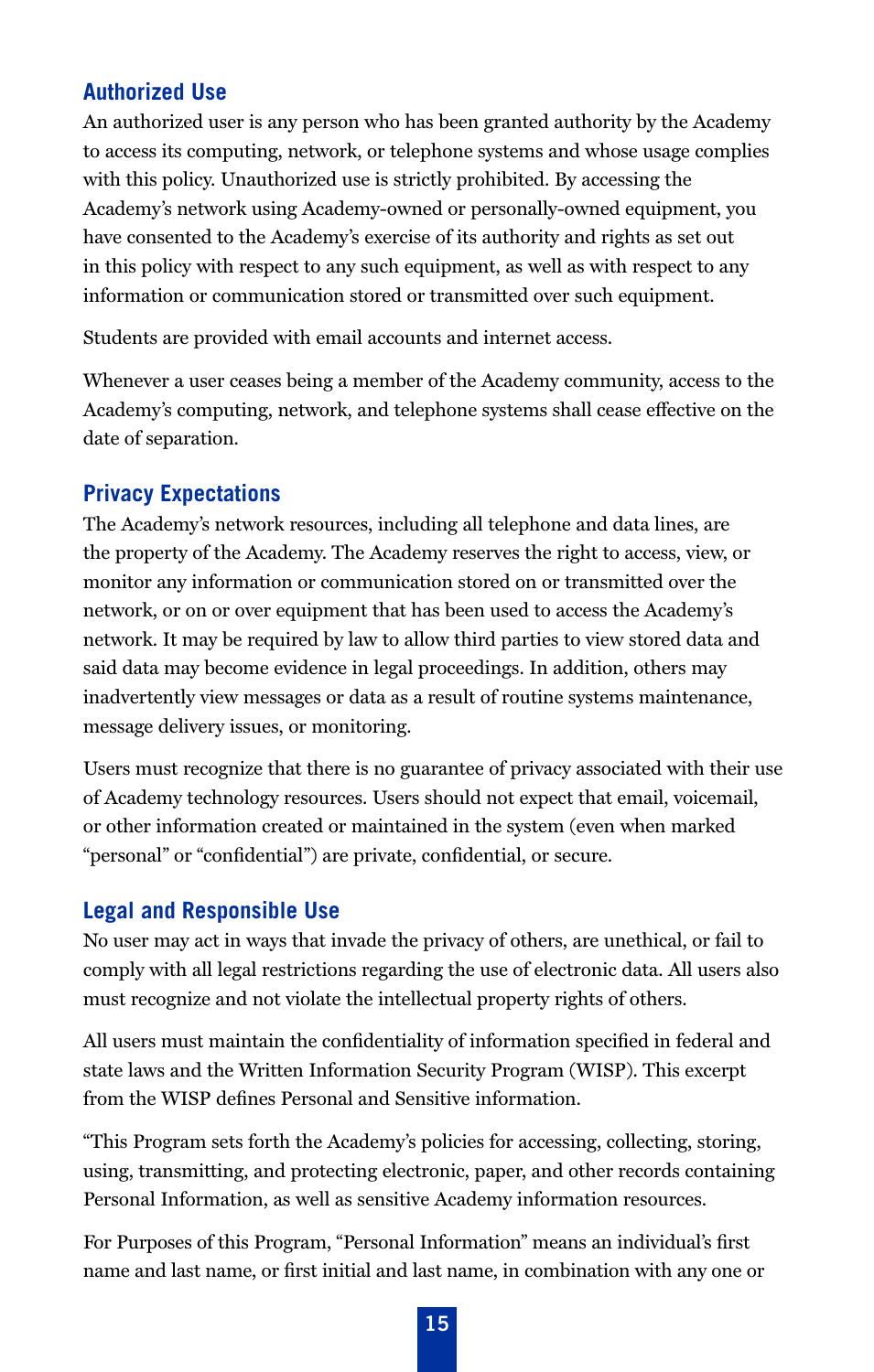## **Authorized Use**

An authorized user is any person who has been granted authority by the Academy to access its computing, network, or telephone systems and whose usage complies with this policy. Unauthorized use is strictly prohibited. By accessing the Academy's network using Academy-owned or personally-owned equipment, you have consented to the Academy's exercise of its authority and rights as set out in this policy with respect to any such equipment, as well as with respect to any information or communication stored or transmitted over such equipment.

Students are provided with email accounts and internet access.

Whenever a user ceases being a member of the Academy community, access to the Academy's computing, network, and telephone systems shall cease effective on the date of separation.

#### **Privacy Expectations**

The Academy's network resources, including all telephone and data lines, are the property of the Academy. The Academy reserves the right to access, view, or monitor any information or communication stored on or transmitted over the network, or on or over equipment that has been used to access the Academy's network. It may be required by law to allow third parties to view stored data and said data may become evidence in legal proceedings. In addition, others may inadvertently view messages or data as a result of routine systems maintenance, message delivery issues, or monitoring.

Users must recognize that there is no guarantee of privacy associated with their use of Academy technology resources. Users should not expect that email, voicemail, or other information created or maintained in the system (even when marked "personal" or "confidential") are private, confidential, or secure.

#### **Legal and Responsible Use**

No user may act in ways that invade the privacy of others, are unethical, or fail to comply with all legal restrictions regarding the use of electronic data. All users also must recognize and not violate the intellectual property rights of others.

All users must maintain the confidentiality of information specified in federal and state laws and the Written Information Security Program (WISP). This excerpt from the WISP defines Personal and Sensitive information.

"This Program sets forth the Academy's policies for accessing, collecting, storing, using, transmitting, and protecting electronic, paper, and other records containing Personal Information, as well as sensitive Academy information resources.

For Purposes of this Program, "Personal Information" means an individual's first name and last name, or first initial and last name, in combination with any one or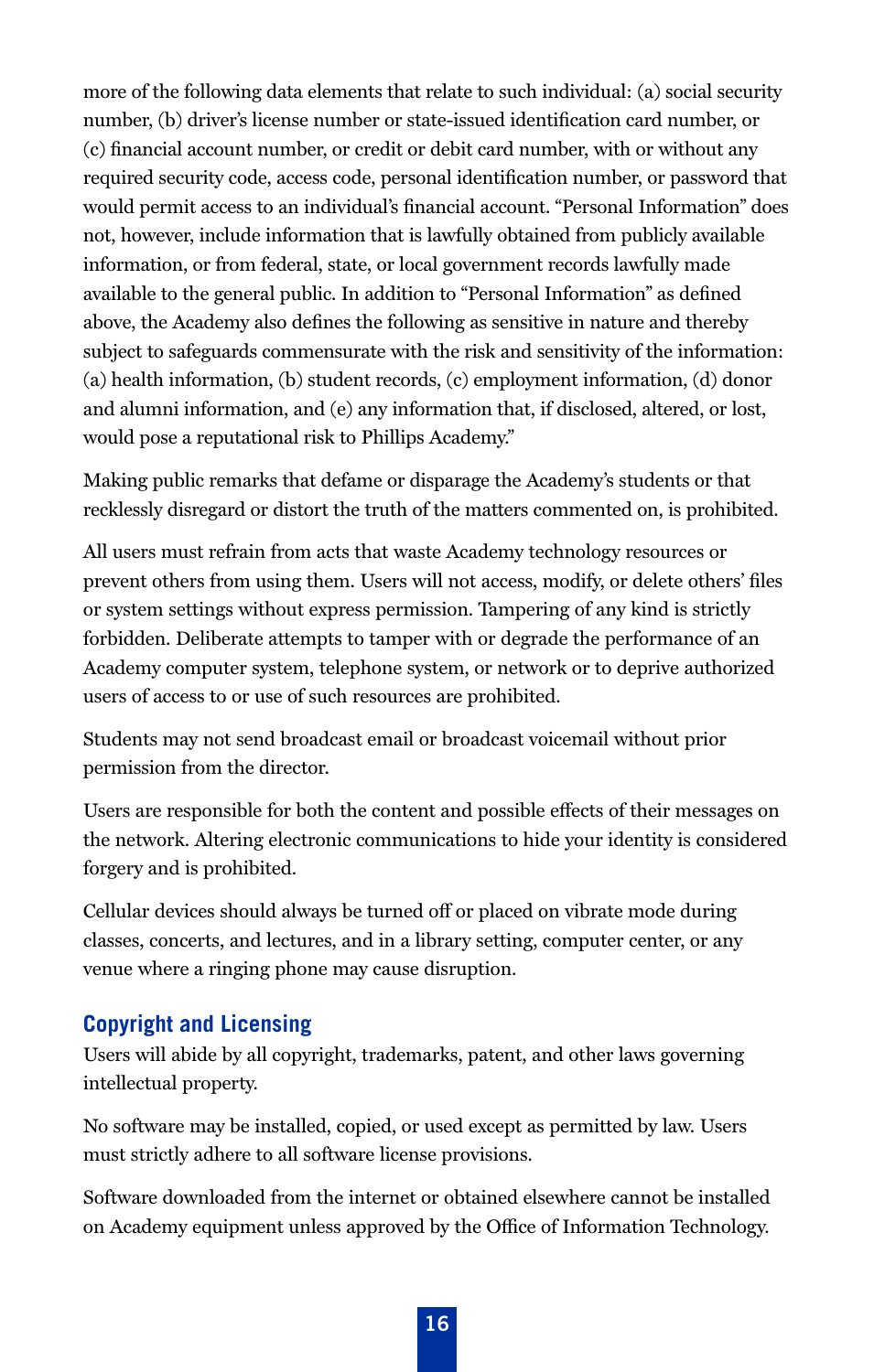more of the following data elements that relate to such individual: (a) social security number, (b) driver's license number or state-issued identification card number, or (c) financial account number, or credit or debit card number, with or without any required security code, access code, personal identification number, or password that would permit access to an individual's financial account. "Personal Information" does not, however, include information that is lawfully obtained from publicly available information, or from federal, state, or local government records lawfully made available to the general public. In addition to "Personal Information" as defined above, the Academy also defines the following as sensitive in nature and thereby subject to safeguards commensurate with the risk and sensitivity of the information: (a) health information, (b) student records, (c) employment information, (d) donor and alumni information, and (e) any information that, if disclosed, altered, or lost, would pose a reputational risk to Phillips Academy."

Making public remarks that defame or disparage the Academy's students or that recklessly disregard or distort the truth of the matters commented on, is prohibited.

All users must refrain from acts that waste Academy technology resources or prevent others from using them. Users will not access, modify, or delete others' files or system settings without express permission. Tampering of any kind is strictly forbidden. Deliberate attempts to tamper with or degrade the performance of an Academy computer system, telephone system, or network or to deprive authorized users of access to or use of such resources are prohibited.

Students may not send broadcast email or broadcast voicemail without prior permission from the director.

Users are responsible for both the content and possible effects of their messages on the network. Altering electronic communications to hide your identity is considered forgery and is prohibited.

Cellular devices should always be turned off or placed on vibrate mode during classes, concerts, and lectures, and in a library setting, computer center, or any venue where a ringing phone may cause disruption.

#### **Copyright and Licensing**

Users will abide by all copyright, trademarks, patent, and other laws governing intellectual property.

No software may be installed, copied, or used except as permitted by law. Users must strictly adhere to all software license provisions.

Software downloaded from the internet or obtained elsewhere cannot be installed on Academy equipment unless approved by the Office of Information Technology.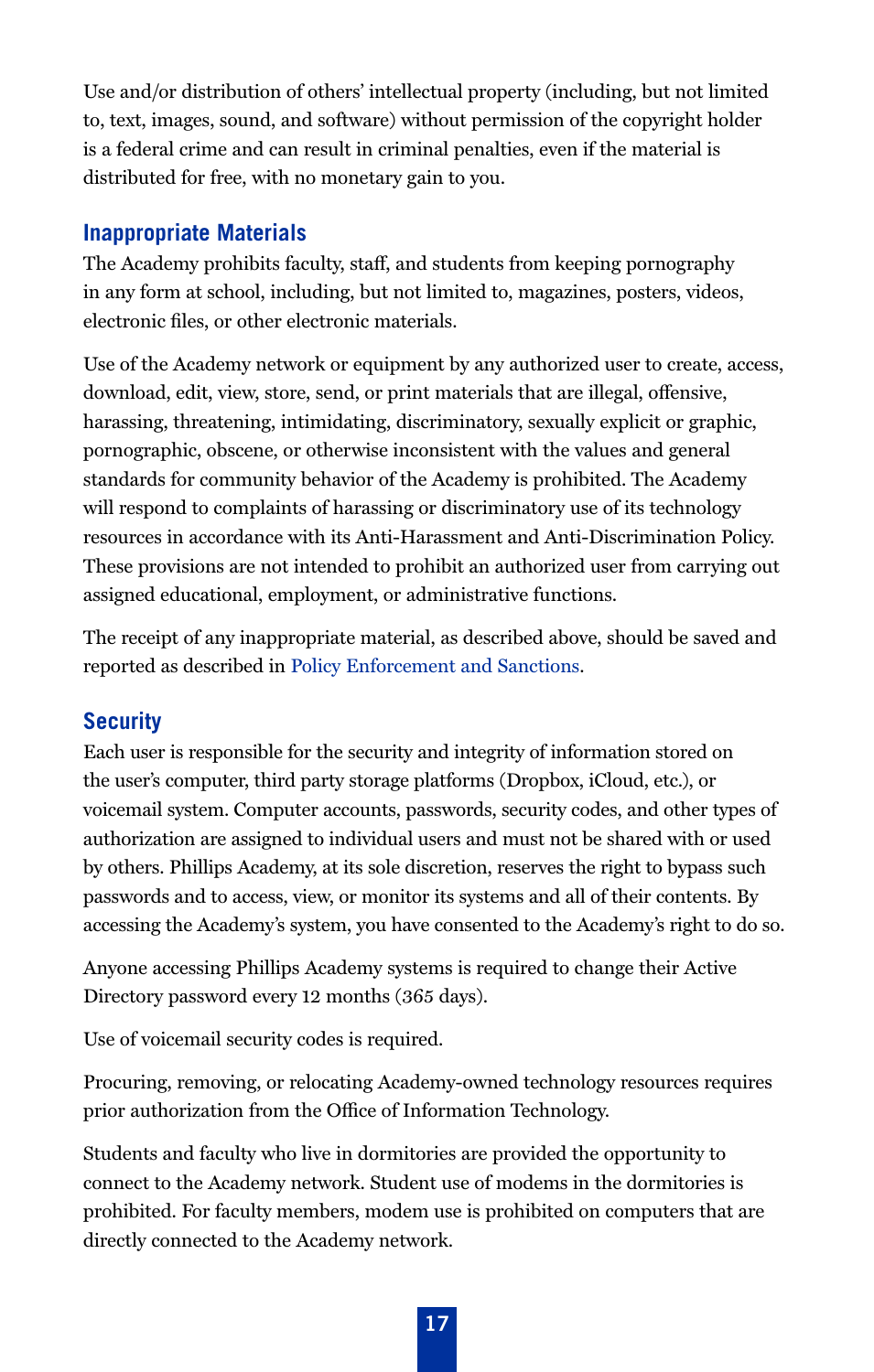Use and/or distribution of others' intellectual property (including, but not limited to, text, images, sound, and software) without permission of the copyright holder is a federal crime and can result in criminal penalties, even if the material is distributed for free, with no monetary gain to you.

#### **Inappropriate Materials**

The Academy prohibits faculty, staff, and students from keeping pornography in any form at school, including, but not limited to, magazines, posters, videos, electronic files, or other electronic materials.

Use of the Academy network or equipment by any authorized user to create, access, download, edit, view, store, send, or print materials that are illegal, offensive, harassing, threatening, intimidating, discriminatory, sexually explicit or graphic, pornographic, obscene, or otherwise inconsistent with the values and general standards for community behavior of the Academy is prohibited. The Academy will respond to complaints of harassing or discriminatory use of its technology resources in accordance with its Anti-Harassment and Anti-Discrimination Policy. These provisions are not intended to prohibit an authorized user from carrying out assigned educational, employment, or administrative functions.

The receipt of any inappropriate material, as described above, should be saved and reported as described in [Policy Enforcement and Sanctions.](#page-17-0) 

## **Security**

Each user is responsible for the security and integrity of information stored on the user's computer, third party storage platforms (Dropbox, iCloud, etc.), or voicemail system. Computer accounts, passwords, security codes, and other types of authorization are assigned to individual users and must not be shared with or used by others. Phillips Academy, at its sole discretion, reserves the right to bypass such passwords and to access, view, or monitor its systems and all of their contents. By accessing the Academy's system, you have consented to the Academy's right to do so.

Anyone accessing Phillips Academy systems is required to change their Active Directory password every 12 months (365 days).

Use of voicemail security codes is required.

Procuring, removing, or relocating Academy-owned technology resources requires prior authorization from the Office of Information Technology.

Students and faculty who live in dormitories are provided the opportunity to connect to the Academy network. Student use of modems in the dormitories is prohibited. For faculty members, modem use is prohibited on computers that are directly connected to the Academy network.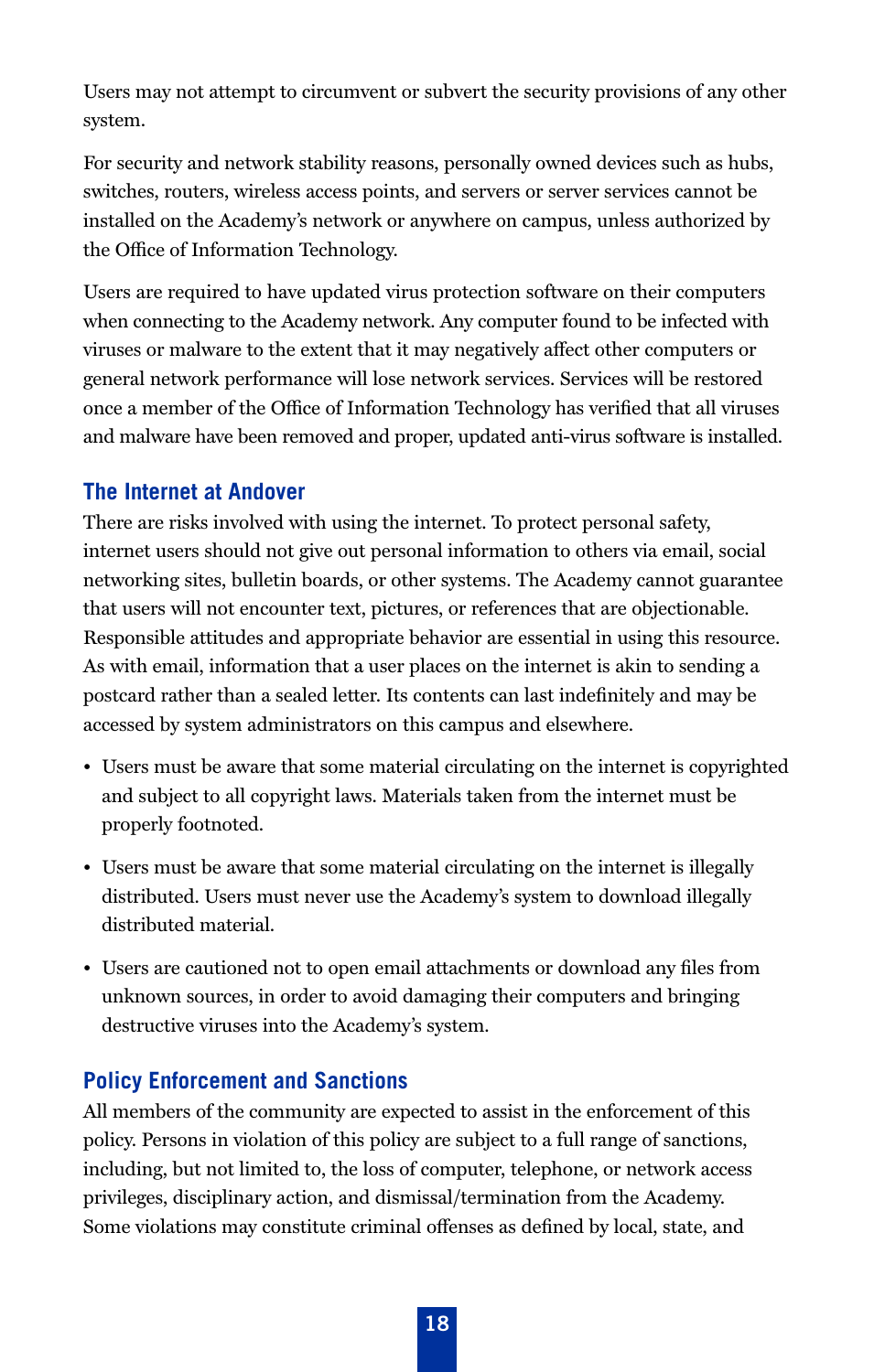Users may not attempt to circumvent or subvert the security provisions of any other system.

For security and network stability reasons, personally owned devices such as hubs, switches, routers, wireless access points, and servers or server services cannot be installed on the Academy's network or anywhere on campus, unless authorized by the Office of Information Technology.

Users are required to have updated virus protection software on their computers when connecting to the Academy network. Any computer found to be infected with viruses or malware to the extent that it may negatively affect other computers or general network performance will lose network services. Services will be restored once a member of the Office of Information Technology has verified that all viruses and malware have been removed and proper, updated anti-virus software is installed.

#### **The Internet at Andover**

There are risks involved with using the internet. To protect personal safety, internet users should not give out personal information to others via email, social networking sites, bulletin boards, or other systems. The Academy cannot guarantee that users will not encounter text, pictures, or references that are objectionable. Responsible attitudes and appropriate behavior are essential in using this resource. As with email, information that a user places on the internet is akin to sending a postcard rather than a sealed letter. Its contents can last indefinitely and may be accessed by system administrators on this campus and elsewhere.

- Users must be aware that some material circulating on the internet is copyrighted and subject to all copyright laws. Materials taken from the internet must be properly footnoted.
- Users must be aware that some material circulating on the internet is illegally distributed. Users must never use the Academy's system to download illegally distributed material.
- Users are cautioned not to open email attachments or download any files from unknown sources, in order to avoid damaging their computers and bringing destructive viruses into the Academy's system.

#### <span id="page-17-0"></span>**Policy Enforcement and Sanctions**

All members of the community are expected to assist in the enforcement of this policy. Persons in violation of this policy are subject to a full range of sanctions, including, but not limited to, the loss of computer, telephone, or network access privileges, disciplinary action, and dismissal/termination from the Academy. Some violations may constitute criminal offenses as defined by local, state, and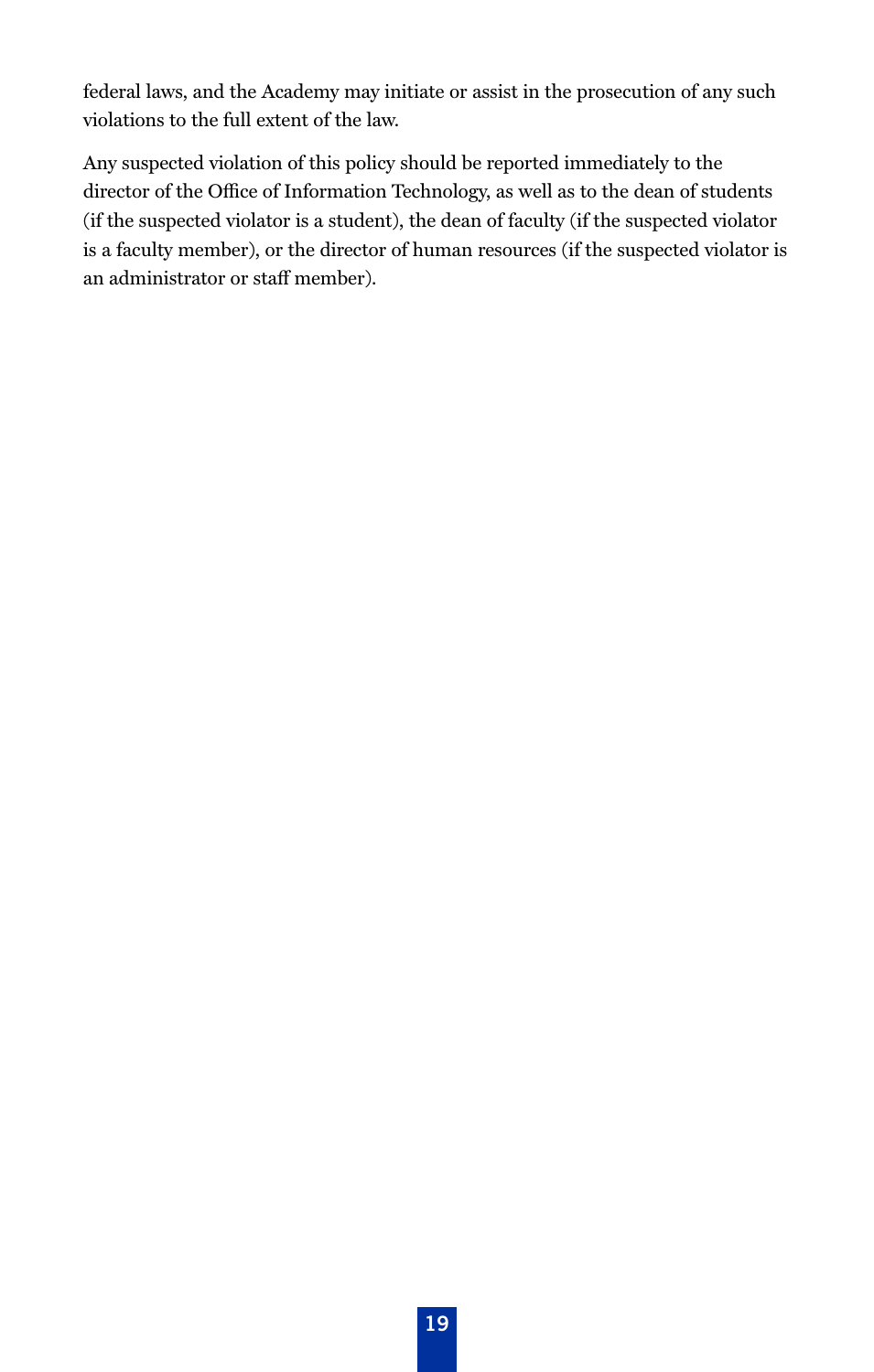federal laws, and the Academy may initiate or assist in the prosecution of any such violations to the full extent of the law.

Any suspected violation of this policy should be reported immediately to the director of the Office of Information Technology, as well as to the dean of students (if the suspected violator is a student), the dean of faculty (if the suspected violator is a faculty member), or the director of human resources (if the suspected violator is an administrator or staff member).